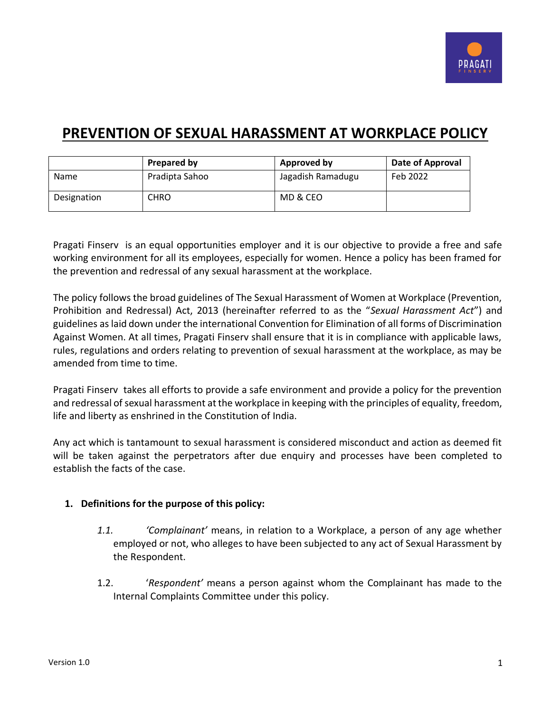

# **PREVENTION OF SEXUAL HARASSMENT AT WORKPLACE POLICY**

|             | Prepared by    | Approved by       | Date of Approval |
|-------------|----------------|-------------------|------------------|
| Name        | Pradipta Sahoo | Jagadish Ramadugu | Feb 2022         |
| Designation | <b>CHRO</b>    | MD & CEO          |                  |

Pragati Finserv is an equal opportunities employer and it is our objective to provide a free and safe working environment for all its employees, especially for women. Hence a policy has been framed for the prevention and redressal of any sexual harassment at the workplace.

The policy follows the broad guidelines of The Sexual Harassment of Women at Workplace (Prevention, Prohibition and Redressal) Act, 2013 (hereinafter referred to as the "*Sexual Harassment Act*") and guidelines as laid down under the international Convention for Elimination of all forms of Discrimination Against Women. At all times, Pragati Finserv shall ensure that it is in compliance with applicable laws, rules, regulations and orders relating to prevention of sexual harassment at the workplace, as may be amended from time to time.

Pragati Finserv takes all efforts to provide a safe environment and provide a policy for the prevention and redressal of sexual harassment at the workplace in keeping with the principles of equality, freedom, life and liberty as enshrined in the Constitution of India.

Any act which is tantamount to sexual harassment is considered misconduct and action as deemed fit will be taken against the perpetrators after due enquiry and processes have been completed to establish the facts of the case.

# **1. Definitions for the purpose of this policy:**

- *1.1. 'Complainant'* means, in relation to a Workplace, a person of any age whether employed or not, who alleges to have been subjected to any act of Sexual Harassment by the Respondent.
- 1.2. '*Respondent'* means a person against whom the Complainant has made to the Internal Complaints Committee under this policy.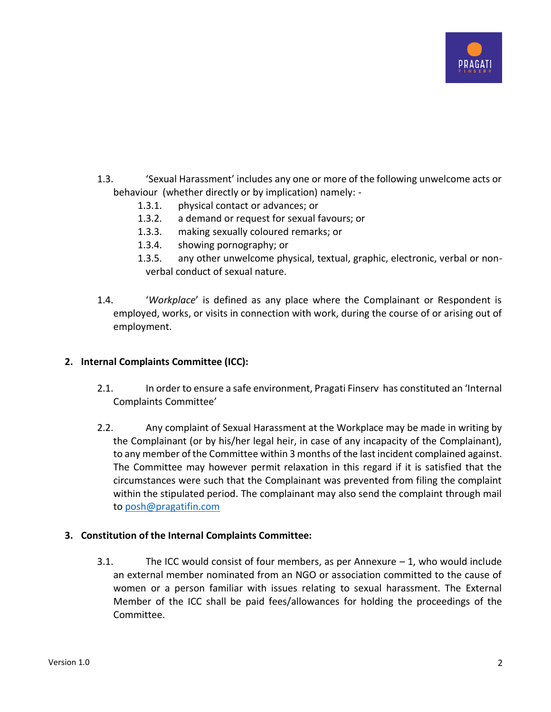

- 1.3. 'Sexual Harassment' includes any one or more of the following unwelcome acts or behaviour (whether directly or by implication) namely: -
	- 1.3.1. physical contact or advances; or
	- 1.3.2. a demand or request for sexual favours; or
	- 1.3.3. making sexually coloured remarks; or
	- 1.3.4. showing pornography; or
	- 1.3.5. any other unwelcome physical, textual, graphic, electronic, verbal or nonverbal conduct of sexual nature.
- 1.4. '*Workplace*' is defined as any place where the Complainant or Respondent is employed, works, or visits in connection with work, during the course of or arising out of employment.

# **2. Internal Complaints Committee (ICC):**

- 2.1. In order to ensure a safe environment, Pragati Finserv has constituted an 'Internal Complaints Committee'
- 2.2. Any complaint of Sexual Harassment at the Workplace may be made in writing by the Complainant (or by his/her legal heir, in case of any incapacity of the Complainant), to any member of the Committee within 3 months of the last incident complained against. The Committee may however permit relaxation in this regard if it is satisfied that the circumstances were such that the Complainant was prevented from filing the complaint within the stipulated period. The complainant may also send the complaint through mail to [posh@pragatifin.com](mailto:posh@pragatifin.com)

# **3. Constitution of the Internal Complaints Committee:**

3.1. The ICC would consist of four members, as per Annexure  $-1$ , who would include an external member nominated from an NGO or association committed to the cause of women or a person familiar with issues relating to sexual harassment. The External Member of the ICC shall be paid fees/allowances for holding the proceedings of the Committee.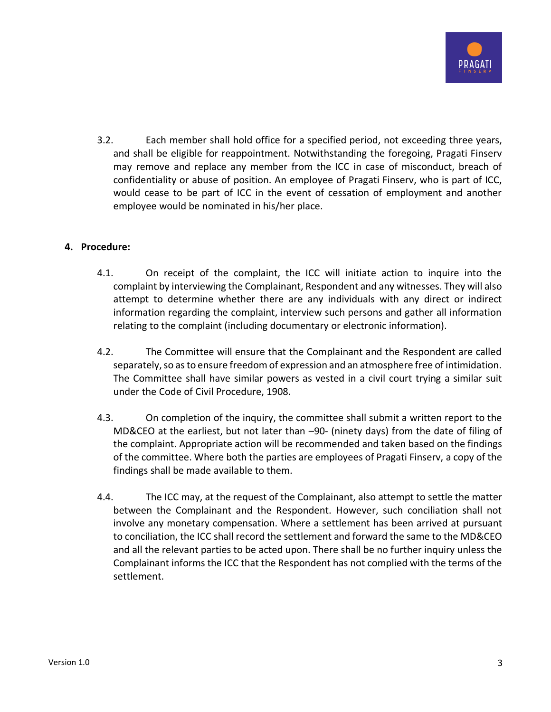

3.2. Each member shall hold office for a specified period, not exceeding three years, and shall be eligible for reappointment. Notwithstanding the foregoing, Pragati Finserv may remove and replace any member from the ICC in case of misconduct, breach of confidentiality or abuse of position. An employee of Pragati Finserv, who is part of ICC, would cease to be part of ICC in the event of cessation of employment and another employee would be nominated in his/her place.

# **4. Procedure:**

- 4.1. On receipt of the complaint, the ICC will initiate action to inquire into the complaint by interviewing the Complainant, Respondent and any witnesses. They will also attempt to determine whether there are any individuals with any direct or indirect information regarding the complaint, interview such persons and gather all information relating to the complaint (including documentary or electronic information).
- 4.2. The Committee will ensure that the Complainant and the Respondent are called separately, so as to ensure freedom of expression and an atmosphere free of intimidation. The Committee shall have similar powers as vested in a civil court trying a similar suit under the Code of Civil Procedure, 1908.
- 4.3. On completion of the inquiry, the committee shall submit a written report to the MD&CEO at the earliest, but not later than –90- (ninety days) from the date of filing of the complaint. Appropriate action will be recommended and taken based on the findings of the committee. Where both the parties are employees of Pragati Finserv, a copy of the findings shall be made available to them.
- 4.4. The ICC may, at the request of the Complainant, also attempt to settle the matter between the Complainant and the Respondent. However, such conciliation shall not involve any monetary compensation. Where a settlement has been arrived at pursuant to conciliation, the ICC shall record the settlement and forward the same to the MD&CEO and all the relevant parties to be acted upon. There shall be no further inquiry unless the Complainant informs the ICC that the Respondent has not complied with the terms of the settlement.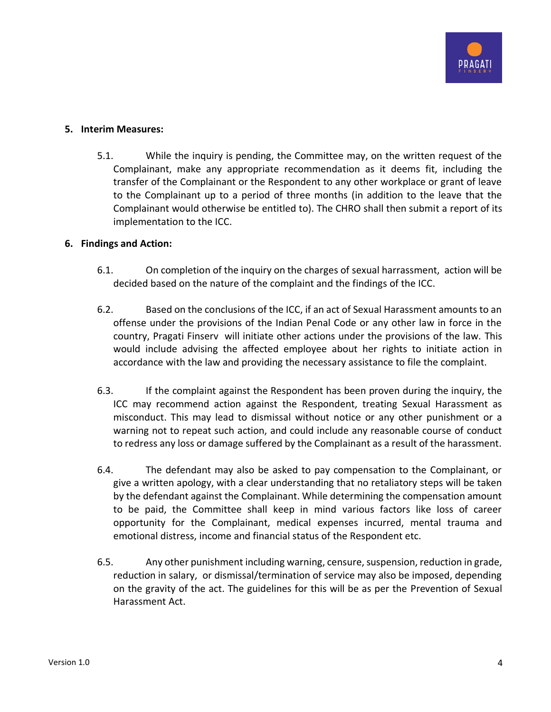

#### **5. Interim Measures:**

5.1. While the inquiry is pending, the Committee may, on the written request of the Complainant, make any appropriate recommendation as it deems fit, including the transfer of the Complainant or the Respondent to any other workplace or grant of leave to the Complainant up to a period of three months (in addition to the leave that the Complainant would otherwise be entitled to). The CHRO shall then submit a report of its implementation to the ICC.

#### **6. Findings and Action:**

- 6.1. On completion of the inquiry on the charges of sexual harrassment, action will be decided based on the nature of the complaint and the findings of the ICC.
- 6.2. Based on the conclusions of the ICC, if an act of Sexual Harassment amounts to an offense under the provisions of the Indian Penal Code or any other law in force in the country, Pragati Finserv will initiate other actions under the provisions of the law. This would include advising the affected employee about her rights to initiate action in accordance with the law and providing the necessary assistance to file the complaint.
- 6.3. If the complaint against the Respondent has been proven during the inquiry, the ICC may recommend action against the Respondent, treating Sexual Harassment as misconduct. This may lead to dismissal without notice or any other punishment or a warning not to repeat such action, and could include any reasonable course of conduct to redress any loss or damage suffered by the Complainant as a result of the harassment.
- 6.4. The defendant may also be asked to pay compensation to the Complainant, or give a written apology, with a clear understanding that no retaliatory steps will be taken by the defendant against the Complainant. While determining the compensation amount to be paid, the Committee shall keep in mind various factors like loss of career opportunity for the Complainant, medical expenses incurred, mental trauma and emotional distress, income and financial status of the Respondent etc.
- 6.5. Any other punishment including warning, censure, suspension, reduction in grade, reduction in salary, or dismissal/termination of service may also be imposed, depending on the gravity of the act. The guidelines for this will be as per the Prevention of Sexual Harassment Act.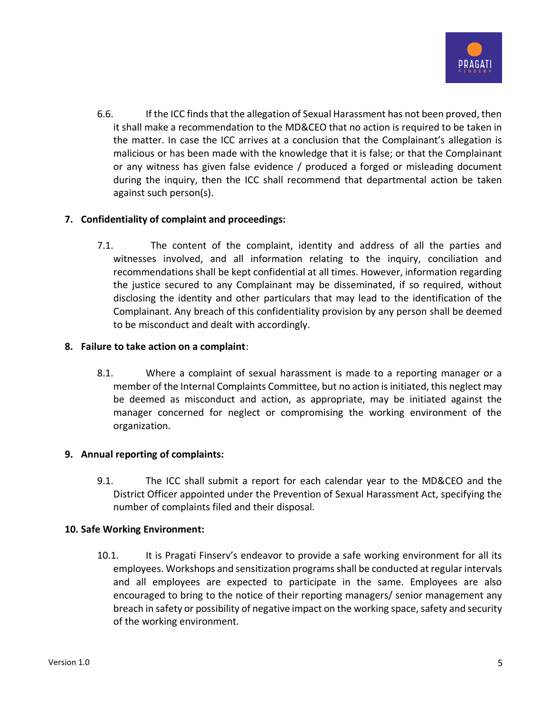

6.6. If the ICC finds that the allegation of Sexual Harassment has not been proved, then it shall make a recommendation to the MD&CEO that no action is required to be taken in the matter. In case the ICC arrives at a conclusion that the Complainant's allegation is malicious or has been made with the knowledge that it is false; or that the Complainant or any witness has given false evidence / produced a forged or misleading document during the inquiry, then the ICC shall recommend that departmental action be taken against such person(s).

# **7. Confidentiality of complaint and proceedings:**

7.1. The content of the complaint, identity and address of all the parties and witnesses involved, and all information relating to the inquiry, conciliation and recommendations shall be kept confidential at all times. However, information regarding the justice secured to any Complainant may be disseminated, if so required, without disclosing the identity and other particulars that may lead to the identification of the Complainant. Any breach of this confidentiality provision by any person shall be deemed to be misconduct and dealt with accordingly.

# **8. Failure to take action on a complaint**:

8.1. Where a complaint of sexual harassment is made to a reporting manager or a member of the Internal Complaints Committee, but no action is initiated, this neglect may be deemed as misconduct and action, as appropriate, may be initiated against the manager concerned for neglect or compromising the working environment of the organization.

# **9. Annual reporting of complaints:**

9.1. The ICC shall submit a report for each calendar year to the MD&CEO and the District Officer appointed under the Prevention of Sexual Harassment Act, specifying the number of complaints filed and their disposal.

# **10. Safe Working Environment:**

10.1. It is Pragati Finserv's endeavor to provide a safe working environment for all its employees. Workshops and sensitization programs shall be conducted at regular intervals and all employees are expected to participate in the same. Employees are also encouraged to bring to the notice of their reporting managers/ senior management any breach in safety or possibility of negative impact on the working space, safety and security of the working environment.